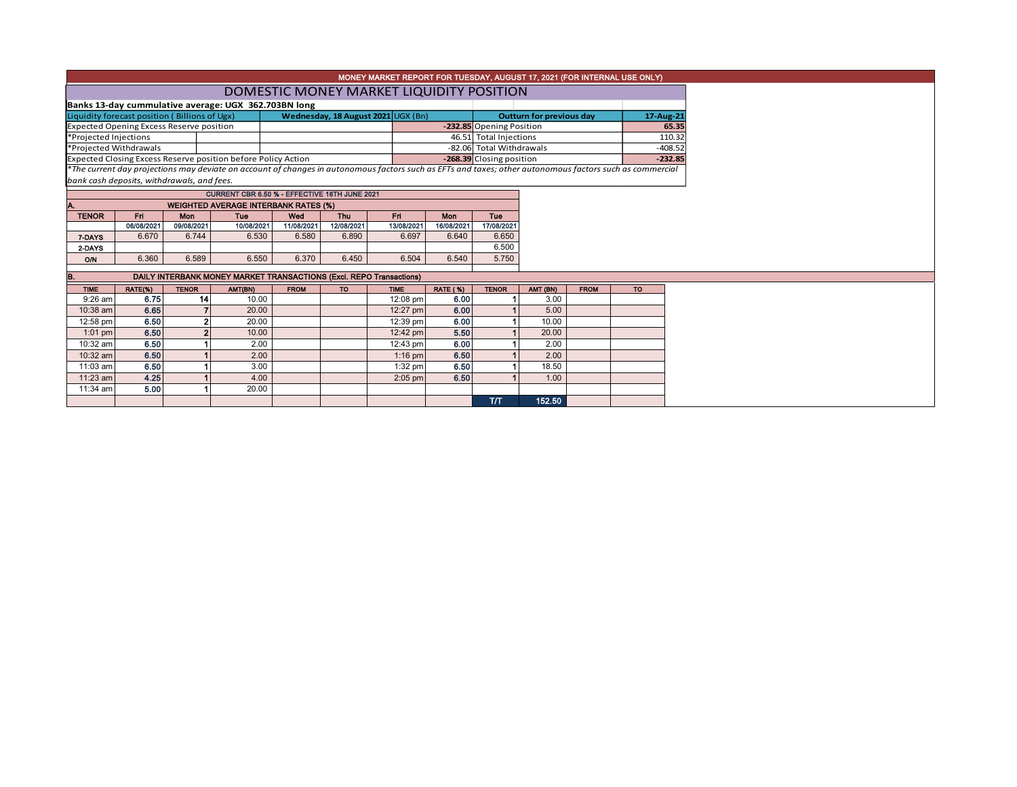| MONEY MARKET REPORT FOR TUESDAY, AUGUST 17, 2021 (FOR INTERNAL USE ONLY)                                                                                 |                                               |                          |                                                               |                                                                     |            |             |                          |                          |                        |             |           |  |  |  |
|----------------------------------------------------------------------------------------------------------------------------------------------------------|-----------------------------------------------|--------------------------|---------------------------------------------------------------|---------------------------------------------------------------------|------------|-------------|--------------------------|--------------------------|------------------------|-------------|-----------|--|--|--|
|                                                                                                                                                          | DOMESTIC MONEY MARKET LIQUIDITY POSITION      |                          |                                                               |                                                                     |            |             |                          |                          |                        |             |           |  |  |  |
| Banks 13-day cummulative average: UGX 362.703BN long                                                                                                     |                                               |                          |                                                               |                                                                     |            |             |                          |                          |                        |             |           |  |  |  |
|                                                                                                                                                          | Liquidity forecast position (Billions of Ugx) |                          | <b>Outturn for previous day</b>                               | 17-Aug-21                                                           |            |             |                          |                          |                        |             |           |  |  |  |
| <b>Expected Opening Excess Reserve position</b>                                                                                                          |                                               | -232.85 Opening Position |                                                               |                                                                     | 65.35      |             |                          |                          |                        |             |           |  |  |  |
| *Projected Injections                                                                                                                                    |                                               |                          |                                                               |                                                                     |            |             |                          |                          | 46.51 Total Injections |             |           |  |  |  |
| *Projected Withdrawals                                                                                                                                   |                                               |                          |                                                               |                                                                     |            |             | -82.06 Total Withdrawals |                          |                        | $-408.52$   |           |  |  |  |
|                                                                                                                                                          |                                               |                          | Expected Closing Excess Reserve position before Policy Action |                                                                     |            |             |                          | -268.39 Closing position |                        |             | $-232.85$ |  |  |  |
| *The current day projections may deviate on account of changes in autonomous factors such as EFTs and taxes; other autonomous factors such as commercial |                                               |                          |                                                               |                                                                     |            |             |                          |                          |                        |             |           |  |  |  |
|                                                                                                                                                          | bank cash deposits, withdrawals, and fees.    |                          |                                                               |                                                                     |            |             |                          |                          |                        |             |           |  |  |  |
|                                                                                                                                                          |                                               |                          |                                                               | CURRENT CBR 6.50 % - EFFECTIVE 16TH JUNE 2021                       |            |             |                          |                          |                        |             |           |  |  |  |
|                                                                                                                                                          |                                               |                          |                                                               | <b>WEIGHTED AVERAGE INTERBANK RATES (%)</b>                         |            |             |                          |                          |                        |             |           |  |  |  |
| <b>TENOR</b>                                                                                                                                             | Fri                                           | Mon                      | Tue                                                           | Wed                                                                 | Thu        | Fri.        | <b>Mon</b>               | <b>Tue</b>               |                        |             |           |  |  |  |
|                                                                                                                                                          | 06/08/2021                                    | 09/08/2021               | 10/08/2021                                                    | 11/08/2021                                                          | 12/08/2021 | 13/08/2021  | 16/08/2021               | 17/08/2021               |                        |             |           |  |  |  |
| 7-DAYS                                                                                                                                                   | 6.670                                         | 6.744                    | 6.530                                                         | 6.580                                                               | 6.890      | 6.697       | 6.640                    | 6.650                    |                        |             |           |  |  |  |
| 2-DAYS                                                                                                                                                   |                                               |                          |                                                               |                                                                     |            |             |                          | 6.500                    |                        |             |           |  |  |  |
| <b>O/N</b>                                                                                                                                               | 6.360                                         | 6.589                    | 6.550                                                         | 6.370                                                               | 6.450      | 6.504       | 6.540                    | 5.750                    |                        |             |           |  |  |  |
| IB.                                                                                                                                                      |                                               |                          |                                                               | DAILY INTERBANK MONEY MARKET TRANSACTIONS (Excl. REPO Transactions) |            |             |                          |                          |                        |             |           |  |  |  |
| <b>TIME</b>                                                                                                                                              | RATE(%)                                       | <b>TENOR</b>             | AMT(BN)                                                       | <b>FROM</b>                                                         | <b>TO</b>  | <b>TIME</b> | <b>RATE (%)</b>          | <b>TENOR</b>             | AMT (BN)               | <b>FROM</b> | <b>TO</b> |  |  |  |
| $9:26$ am                                                                                                                                                | 6.75                                          | 14                       | 10.00                                                         |                                                                     |            | 12:08 pm    | 6.00                     |                          | 3.00                   |             |           |  |  |  |
| 10:38 am                                                                                                                                                 | 6.65                                          |                          | 20.00                                                         |                                                                     |            | 12:27 pm    | 6.00                     |                          | 5.00                   |             |           |  |  |  |
| 12:58 pm                                                                                                                                                 | 6.50                                          |                          | 20.00                                                         |                                                                     |            | 12:39 pm    | 6.00                     |                          | 10.00                  |             |           |  |  |  |
| $1:01$ pm                                                                                                                                                | 6.50                                          |                          | 10.00                                                         |                                                                     |            | 12:42 pm    | 5.50                     |                          | 20.00                  |             |           |  |  |  |
| 10:32 am                                                                                                                                                 | 6.50                                          |                          | 2.00                                                          |                                                                     |            | 12:43 pm    | 6.00                     |                          | 2.00                   |             |           |  |  |  |
| 10:32 am                                                                                                                                                 | 6.50                                          |                          | 2.00                                                          |                                                                     |            | $1:16$ pm   | 6.50                     |                          | 2.00                   |             |           |  |  |  |
| 11:03 am                                                                                                                                                 | 6.50                                          |                          | 3.00                                                          |                                                                     |            | $1:32$ pm   | 6.50                     |                          | 18.50                  |             |           |  |  |  |
| 11:23 am                                                                                                                                                 | 4.25                                          |                          | 4.00                                                          |                                                                     |            | $2:05$ pm   | 6.50                     |                          | 1.00                   |             |           |  |  |  |
|                                                                                                                                                          |                                               |                          |                                                               |                                                                     |            |             |                          |                          |                        |             |           |  |  |  |
| 11:34 am                                                                                                                                                 | 5.00                                          |                          | 20.00                                                         |                                                                     |            |             |                          |                          |                        |             |           |  |  |  |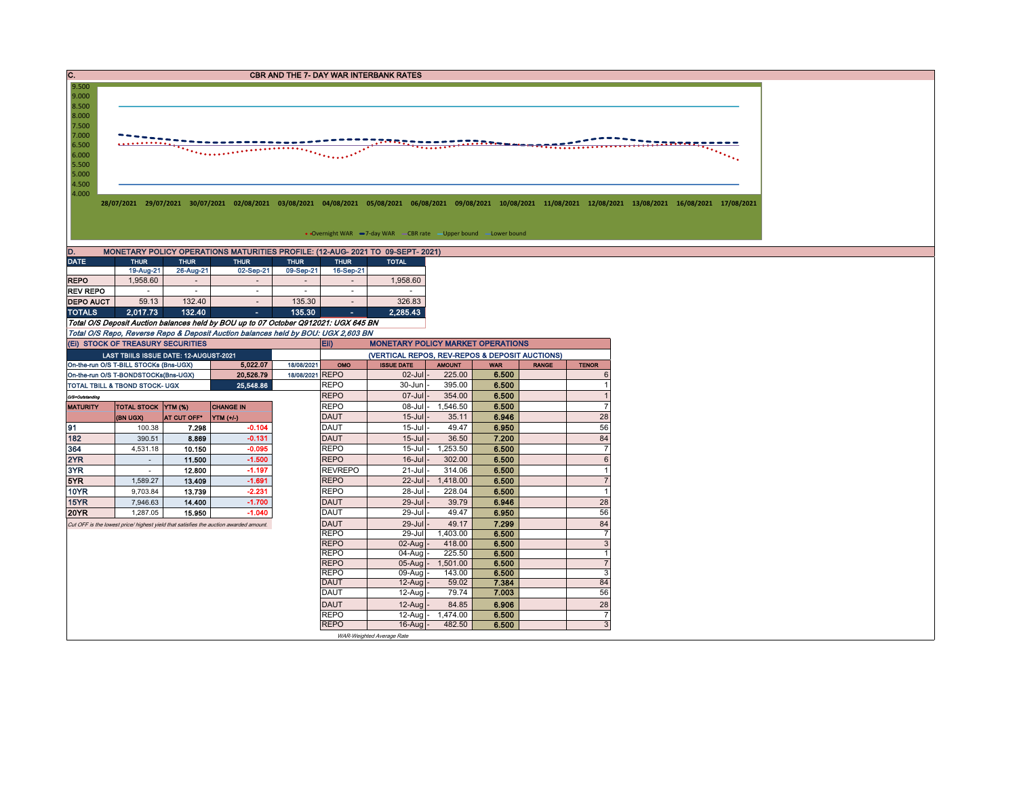| C.<br><b>CBR AND THE 7- DAY WAR INTERBANK RATES</b>                                                                                                                                                                                                                                                                                                                                                                                                  |                                        |                                       |                                                                                       |                                       |                            |                                                                                |                   |                |              |                      |  |  |  |
|------------------------------------------------------------------------------------------------------------------------------------------------------------------------------------------------------------------------------------------------------------------------------------------------------------------------------------------------------------------------------------------------------------------------------------------------------|----------------------------------------|---------------------------------------|---------------------------------------------------------------------------------------|---------------------------------------|----------------------------|--------------------------------------------------------------------------------|-------------------|----------------|--------------|----------------------|--|--|--|
| 9.500<br>9.000<br>8.500<br>8.000<br>7.500<br>7.000<br><u> 222022</u><br>6.500<br>$\bullet \bullet \bullet \bullet \bullet \bullet \bullet \bullet \bullet$<br>6.000<br>5.500<br>5.000<br>4.500<br>4.000<br>28/07/2021 29/07/2021 30/07/2021 02/08/2021 03/08/2021 04/08/2021 05/08/2021 06/08/2021 09/08/2021 10/08/2021 11/08/2021 12/08/2021 13/08/2021 16/08/2021 17/08/2021<br>• Overnight WAR -7-day WAR - CBR rate - Upper bound - Lower bound |                                        |                                       |                                                                                       |                                       |                            |                                                                                |                   |                |              |                      |  |  |  |
| D.                                                                                                                                                                                                                                                                                                                                                                                                                                                   |                                        |                                       |                                                                                       |                                       |                            | MONETARY POLICY OPERATIONS MATURITIES PROFILE: (12-AUG- 2021 TO 09-SEPT- 2021) |                   |                |              |                      |  |  |  |
| <b>DATE</b>                                                                                                                                                                                                                                                                                                                                                                                                                                          | <b>THUR</b>                            | <b>THUR</b>                           | <b>THUR</b>                                                                           | <b>THUR</b>                           | <b>THUR</b>                | <b>TOTAL</b>                                                                   |                   |                |              |                      |  |  |  |
| <b>REPO</b>                                                                                                                                                                                                                                                                                                                                                                                                                                          | 19-Aug-21<br>1.958.60                  | 26-Aug-21<br>$\overline{\phantom{a}}$ | 02-Sep-21                                                                             | 09-Sep-21<br>$\overline{\phantom{a}}$ | 16-Sep-21                  | 1,958.60                                                                       |                   |                |              |                      |  |  |  |
| <b>REV REPO</b>                                                                                                                                                                                                                                                                                                                                                                                                                                      | $\sim$                                 | $\sim$                                | $\sim$                                                                                | $\sim$                                | $\sim$                     | $\sim$                                                                         |                   |                |              |                      |  |  |  |
| <b>DEPO AUCT</b>                                                                                                                                                                                                                                                                                                                                                                                                                                     | 59.13                                  | 132.40                                | $\overline{\phantom{a}}$                                                              | 135.30                                | $\overline{\phantom{a}}$   | 326.83                                                                         |                   |                |              |                      |  |  |  |
| <b>TOTALS</b>                                                                                                                                                                                                                                                                                                                                                                                                                                        | 2,017.73                               | 132.40                                | $\sim$                                                                                | 135.30                                | $\sim$                     | 2,285.43                                                                       |                   |                |              |                      |  |  |  |
|                                                                                                                                                                                                                                                                                                                                                                                                                                                      |                                        |                                       | Total O/S Deposit Auction balances held by BOU up to 07 October Q912021: UGX 645 BN   |                                       |                            |                                                                                |                   |                |              |                      |  |  |  |
|                                                                                                                                                                                                                                                                                                                                                                                                                                                      |                                        |                                       | Total O/S Repo, Reverse Repo & Deposit Auction balances held by BOU: UGX 2,603 BN     |                                       |                            |                                                                                |                   |                |              |                      |  |  |  |
| (EI) STOCK OF TREASURY SECURITIES<br><b>MONETARY POLICY MARKET OPERATIONS</b><br>Eii)                                                                                                                                                                                                                                                                                                                                                                |                                        |                                       |                                                                                       |                                       |                            |                                                                                |                   |                |              |                      |  |  |  |
|                                                                                                                                                                                                                                                                                                                                                                                                                                                      | LAST TBIILS ISSUE DATE: 12-AUGUST-2021 |                                       |                                                                                       |                                       |                            | (VERTICAL REPOS, REV-REPOS & DEPOSIT AUCTIONS)                                 |                   |                |              |                      |  |  |  |
|                                                                                                                                                                                                                                                                                                                                                                                                                                                      | On-the-run O/S T-BILL STOCKs (Bns-UGX) |                                       | 5,022.07                                                                              | 18/08/2021                            | OMO                        | <b>ISSUE DATE</b>                                                              | <b>AMOUNT</b>     | <b>WAR</b>     | <b>RANGE</b> | <b>TENOR</b>         |  |  |  |
|                                                                                                                                                                                                                                                                                                                                                                                                                                                      | On-the-run O/S T-BONDSTOCKs(Bns-UGX)   |                                       | 20,526.79<br>25.548.86                                                                | 18/08/2021 REPO                       | <b>REPO</b>                | $02$ -Jul<br>30-Jun                                                            | 225.00<br>395.00  | 6.500<br>6.500 |              | 6<br>$\overline{1}$  |  |  |  |
|                                                                                                                                                                                                                                                                                                                                                                                                                                                      | TOTAL TBILL & TBOND STOCK- UGX         |                                       |                                                                                       |                                       | <b>REPO</b>                | 07-Jul                                                                         | 354.00            | 6.500          |              | $\overline{1}$       |  |  |  |
| O/S=Outstanding<br><b>MATURITY</b>                                                                                                                                                                                                                                                                                                                                                                                                                   | TOTAL STOCK YTM (%)                    |                                       | <b>CHANGE IN</b>                                                                      |                                       | <b>REPO</b>                | 08-Jul                                                                         | 1,546.50          | 6.500          |              | $\overline{7}$       |  |  |  |
|                                                                                                                                                                                                                                                                                                                                                                                                                                                      | (BN UGX)                               | AT CUT OFF <sup>®</sup>               | YTM (+/-)                                                                             |                                       | <b>DAUT</b>                | $15$ -Jul                                                                      | 35.11             | 6.946          |              | 28                   |  |  |  |
| 91                                                                                                                                                                                                                                                                                                                                                                                                                                                   | 100.38                                 | 7.298                                 | $-0.104$                                                                              |                                       | <b>DAUT</b>                | $15 -$ Jul                                                                     | 49.47             | 6.950          |              | 56                   |  |  |  |
| 182                                                                                                                                                                                                                                                                                                                                                                                                                                                  | 390.51                                 | 8.869                                 | $-0.131$                                                                              |                                       | <b>DAUT</b>                | $15 -$ Jul                                                                     | 36.50             | 7.200          |              | 84                   |  |  |  |
| 364                                                                                                                                                                                                                                                                                                                                                                                                                                                  | 4,531.18                               | 10.150                                | $-0.095$                                                                              |                                       | <b>REPO</b>                | $15 -$ Jul                                                                     | 1,253.50          | 6.500          |              | $\overline{7}$       |  |  |  |
| 2YR                                                                                                                                                                                                                                                                                                                                                                                                                                                  | $\sim$                                 | 11.500                                | $-1.500$                                                                              |                                       | <b>REPO</b>                | $16$ -Jul                                                                      | 302.00            | 6.500          |              | $6\phantom{1}$       |  |  |  |
| 3YR                                                                                                                                                                                                                                                                                                                                                                                                                                                  | $\sim$                                 | 12.800                                | $-1.197$                                                                              |                                       | <b>REVREPO</b>             | 21-Jul                                                                         | 314.06            | 6.500          |              | $\mathbf{1}$         |  |  |  |
| 5YR                                                                                                                                                                                                                                                                                                                                                                                                                                                  | 1,589.27                               | 13.409                                | $-1.691$                                                                              |                                       | <b>REPO</b>                | $22$ -Jul                                                                      | 1,418.00          | 6.500          |              | $\overline{7}$       |  |  |  |
| <b>10YR</b>                                                                                                                                                                                                                                                                                                                                                                                                                                          | 9,703.84                               | 13.739                                | $-2.231$                                                                              |                                       | <b>REPO</b>                | 28-Jul                                                                         | 228.04            | 6.500          |              | $\mathbf{1}$         |  |  |  |
| 15YR                                                                                                                                                                                                                                                                                                                                                                                                                                                 | 7,946.63                               | 14.400                                | $-1.700$                                                                              |                                       | <b>DAUT</b>                | 29-Jul                                                                         | 39.79             | 6.946          |              | 28                   |  |  |  |
| <b>20YR</b>                                                                                                                                                                                                                                                                                                                                                                                                                                          | 1,287.05                               | 15.950                                | $-1.040$                                                                              |                                       | <b>DAUT</b>                | 29-Jul<br>$29 -$ Jul                                                           | 49.47<br>49.17    | 6.950<br>7.299 |              | 56<br>84             |  |  |  |
|                                                                                                                                                                                                                                                                                                                                                                                                                                                      |                                        |                                       | Cut OFF is the lowest price/ highest yield that satisfies the auction awarded amount. |                                       | <b>DAUT</b><br><b>REPO</b> | 29-Jul                                                                         | 1,403.00          | 6,500          |              | $\overline{7}$       |  |  |  |
|                                                                                                                                                                                                                                                                                                                                                                                                                                                      |                                        |                                       |                                                                                       |                                       | <b>REPO</b>                | 02-Aug                                                                         | 418.00            | 6.500          |              | $\mathbf{3}$         |  |  |  |
|                                                                                                                                                                                                                                                                                                                                                                                                                                                      |                                        |                                       |                                                                                       |                                       | <b>REPO</b>                | 04-Aug                                                                         | 225.50            | 6.500          |              | $\mathbf{1}$         |  |  |  |
|                                                                                                                                                                                                                                                                                                                                                                                                                                                      |                                        |                                       |                                                                                       |                                       | <b>REPO</b>                | 05-Aug                                                                         | 1,501.00          | 6.500          |              | $\overline{7}$       |  |  |  |
|                                                                                                                                                                                                                                                                                                                                                                                                                                                      |                                        |                                       |                                                                                       |                                       | <b>REPO</b>                | 09-Aug                                                                         | 143.00            | 6.500          |              | 3                    |  |  |  |
|                                                                                                                                                                                                                                                                                                                                                                                                                                                      |                                        |                                       |                                                                                       |                                       | <b>DAUT</b><br><b>DAUT</b> | 12-Aug<br>12-Aug                                                               | 59.02<br>79.74    | 7.384<br>7.003 |              | 84<br>56             |  |  |  |
|                                                                                                                                                                                                                                                                                                                                                                                                                                                      |                                        |                                       |                                                                                       |                                       | <b>DAUT</b>                |                                                                                |                   |                |              |                      |  |  |  |
|                                                                                                                                                                                                                                                                                                                                                                                                                                                      |                                        |                                       |                                                                                       |                                       | <b>REPO</b>                | 12-Aug<br>12-Aug                                                               | 84.85<br>1,474.00 | 6.906<br>6.500 |              | 28<br>$\overline{7}$ |  |  |  |
|                                                                                                                                                                                                                                                                                                                                                                                                                                                      |                                        |                                       |                                                                                       |                                       | <b>REPO</b>                | $16$ -Aug                                                                      | 482.50            | 6.500          |              | 3                    |  |  |  |
|                                                                                                                                                                                                                                                                                                                                                                                                                                                      |                                        |                                       |                                                                                       |                                       |                            | WAR-Weighted Average Rate                                                      |                   |                |              |                      |  |  |  |